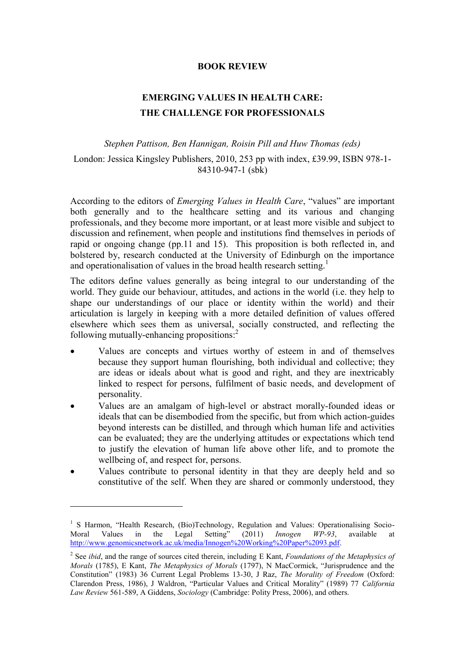## **BOOK REVIEW**

## **EMERGING VALUES IN HEALTH CARE: THE CHALLENGE FOR PROFESSIONALS**

## *Stephen Pattison, Ben Hannigan, Roisin Pill and Huw Thomas (eds)* London: Jessica Kingsley Publishers, 2010, 253 pp with index, £39.99, ISBN 978-1-

84310-947-1 (sbk)

According to the editors of *Emerging Values in Health Care*, "values" are important both generally and to the healthcare setting and its various and changing professionals, and they become more important, or at least more visible and subject to discussion and refinement, when people and institutions find themselves in periods of rapid or ongoing change (pp.11 and 15). This proposition is both reflected in, and bolstered by, research conducted at the University of Edinburgh on the importance and operationalisation of values in the broad health research setting.<sup>1</sup>

The editors define values generally as being integral to our understanding of the world. They guide our behaviour, attitudes, and actions in the world (i.e. they help to shape our understandings of our place or identity within the world) and their articulation is largely in keeping with a more detailed definition of values offered elsewhere which sees them as universal, socially constructed, and reflecting the following mutually-enhancing propositions:<sup>2</sup>

- Values are concepts and virtues worthy of esteem in and of themselves because they support human flourishing, both individual and collective; they are ideas or ideals about what is good and right, and they are inextricably linked to respect for persons, fulfilment of basic needs, and development of personality.
- Values are an amalgam of high-level or abstract morally-founded ideas or ideals that can be disembodied from the specific, but from which action-guides beyond interests can be distilled, and through which human life and activities can be evaluated; they are the underlying attitudes or expectations which tend to justify the elevation of human life above other life, and to promote the wellbeing of, and respect for, persons.
- Values contribute to personal identity in that they are deeply held and so constitutive of the self. When they are shared or commonly understood, they

1

<sup>&</sup>lt;sup>1</sup> S Harmon, "Health Research, (Bio)Technology, Regulation and Values: Operationalising Socio-Moral Values in the Legal Setting" (2011) *Innogen WP-93*, available at [http://www.genomicsnetwork.ac.uk/media/Innogen%20Working%20Paper%2093.pdf.](http://www.genomicsnetwork.ac.uk/media/Innogen%20Working%20Paper%2093.pdf)

<sup>2</sup> See *ibid*, and the range of sources cited therein, including E Kant, *Foundations of the Metaphysics of Morals* (1785), E Kant, *The Metaphysics of Morals* (1797), N MacCormick, "Jurisprudence and the Constitution" (1983) 36 Current Legal Problems 13-30, J Raz, *The Morality of Freedom* (Oxford: Clarendon Press, 1986), J Waldron, "Particular Values and Critical Morality" (1989) 77 *California Law Review* 561-589, A Giddens, *Sociology* (Cambridge: Polity Press, 2006), and others.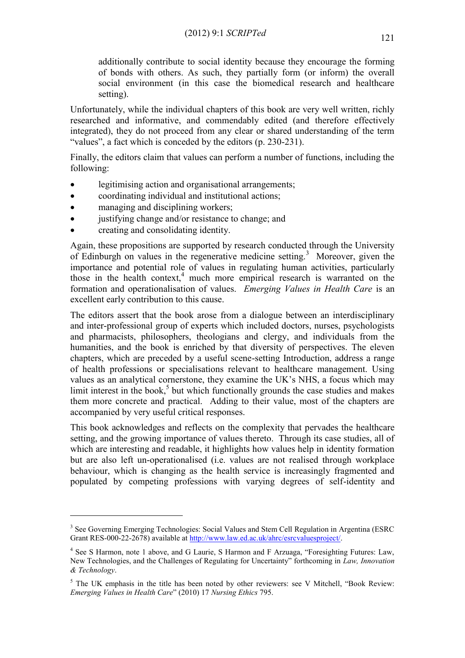additionally contribute to social identity because they encourage the forming of bonds with others. As such, they partially form (or inform) the overall social environment (in this case the biomedical research and healthcare setting).

Unfortunately, while the individual chapters of this book are very well written, richly researched and informative, and commendably edited (and therefore effectively integrated), they do not proceed from any clear or shared understanding of the term "values", a fact which is conceded by the editors (p. 230-231).

Finally, the editors claim that values can perform a number of functions, including the following:

- legitimising action and organisational arrangements;
- coordinating individual and institutional actions;
- managing and disciplining workers;
- justifying change and/or resistance to change; and
- creating and consolidating identity.

1

Again, these propositions are supported by research conducted through the University of Edinburgh on values in the regenerative medicine setting.<sup>3</sup> Moreover, given the importance and potential role of values in regulating human activities, particularly those in the health context,<sup>4</sup> much more empirical research is warranted on the formation and operationalisation of values. *Emerging Values in Health Care* is an excellent early contribution to this cause.

The editors assert that the book arose from a dialogue between an interdisciplinary and inter-professional group of experts which included doctors, nurses, psychologists and pharmacists, philosophers, theologians and clergy, and individuals from the humanities, and the book is enriched by that diversity of perspectives. The eleven chapters, which are preceded by a useful scene-setting Introduction, address a range of health professions or specialisations relevant to healthcare management. Using values as an analytical cornerstone, they examine the UK's NHS, a focus which may limit interest in the book, $5$  but which functionally grounds the case studies and makes them more concrete and practical. Adding to their value, most of the chapters are accompanied by very useful critical responses.

This book acknowledges and reflects on the complexity that pervades the healthcare setting, and the growing importance of values thereto. Through its case studies, all of which are interesting and readable, it highlights how values help in identity formation but are also left un-operationalised (i.e. values are not realised through workplace behaviour, which is changing as the health service is increasingly fragmented and populated by competing professions with varying degrees of self-identity and

<sup>&</sup>lt;sup>3</sup> See Governing Emerging Technologies: Social Values and Stem Cell Regulation in Argentina (ESRC Grant RES-000-22-2678) available a[t http://www.law.ed.ac.uk/ahrc/esrcvaluesproject/.](http://www.law.ed.ac.uk/ahrc/esrcvaluesproject/)

<sup>&</sup>lt;sup>4</sup> See S Harmon, note 1 above, and G Laurie, S Harmon and F Arzuaga, "Foresighting Futures: Law, New Technologies, and the Challenges of Regulating for Uncertainty" forthcoming in *Law, Innovation & Technology*.

<sup>&</sup>lt;sup>5</sup> The UK emphasis in the title has been noted by other reviewers: see V Mitchell, "Book Review: *Emerging Values in Health Care*" (2010) 17 *Nursing Ethics* 795.